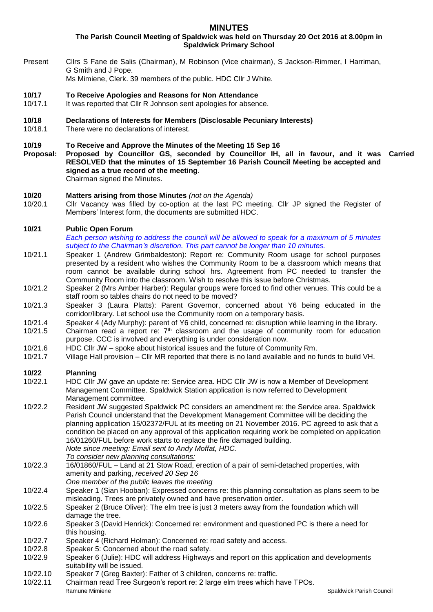# **MINUTES**

**The Parish Council Meeting of Spaldwick was held on Thursday 20 Oct 2016 at 8.00pm in Spaldwick Primary School**

Present Cllrs S Fane de Salis (Chairman), M Robinson (Vice chairman), S Jackson-Rimmer, I Harriman, G Smith and J Pope.

Ms Mimiene, Clerk. 39 members of the public. HDC Cllr J White.

- **10/17 To Receive Apologies and Reasons for Non Attendance**
- 10/17.1 It was reported that Cllr R Johnson sent apologies for absence.
- **10/18 Declarations of Interests for Members (Disclosable Pecuniary Interests)**
- 10/18.1 There were no declarations of interest.

# **10/19 To Receive and Approve the Minutes of the Meeting 15 Sep 16**

**Proposal: Proposed by Councillor GS, seconded by Councillor IH, all in favour, and it was Carried RESOLVED that the minutes of 15 September 16 Parish Council Meeting be accepted and signed as a true record of the meeting**. Chairman signed the Minutes.

**10/20 Matters arising from those Minutes** *(not on the Agenda)*

- 10/20.1 Cllr Vacancy was filled by co-option at the last PC meeting. Cllr JP signed the Register of Members' Interest form, the documents are submitted HDC.
- **10/21 Public Open Forum**

*Each person wishing to address the council will be allowed to speak for a maximum of 5 minutes subject to the Chairman's discretion. This part cannot be longer than 10 minutes.* 

- 10/21.1 Speaker 1 (Andrew Grimbaldeston): Report re: Community Room usage for school purposes presented by a resident who wishes the Community Room to be a classroom which means that room cannot be available during school hrs. Agreement from PC needed to transfer the Community Room into the classroom. Wish to resolve this issue before Christmas.
- 10/21.2 Speaker 2 (Mrs Amber Harber): Regular groups were forced to find other venues. This could be a staff room so tables chairs do not need to be moved?
- 10/21.3 Speaker 3 (Laura Platts): Parent Governor, concerned about Y6 being educated in the corridor/library. Let school use the Community room on a temporary basis.
- 10/21.4 Speaker 4 (Ady Murphy): parent of Y6 child, concerned re: disruption while learning in the library.
- 10/21.5 Chairman read a report re:  $7<sup>th</sup>$  classroom and the usage of community room for education purpose. CCC is involved and everything is under consideration now.
- 10/21.6 HDC Cllr JW spoke about historical issues and the future of Community Rm.
- 10/21.7 Village Hall provision Cllr MR reported that there is no land available and no funds to build VH.

### **10/22 Planning**

- 10/22.1 HDC Cllr JW gave an update re: Service area. HDC Cllr JW is now a Member of Development Management Committee. Spaldwick Station application is now referred to Development Management committee.
- 10/22.2 Resident JW suggested Spaldwick PC considers an amendment re: the Service area. Spaldwick Parish Council understand that the Development Management Committee will be deciding the planning application 15/02372/FUL at its meeting on 21 November 2016. PC agreed to ask that a condition be placed on any approval of this application requiring work be completed on application 16/01260/FUL before work starts to replace the fire damaged building. *Note since meeting: Email sent to Andy Moffat, HDC.*
	- *To consider new planning consultations:*
- 10/22.3 16/01860/FUL Land at 21 Stow Road, erection of a pair of semi-detached properties, with amenity and parking, *received 20 Sep 16*
- *One member of the public leaves the meeting*
- 10/22.4 Speaker 1 (Sian Hooban): Expressed concerns re: this planning consultation as plans seem to be misleading. Trees are privately owned and have preservation order.
- 10/22.5 Speaker 2 (Bruce Oliver): The elm tree is just 3 meters away from the foundation which will damage the tree.
- 10/22.6 Speaker 3 (David Henrick): Concerned re: environment and questioned PC is there a need for this housing.
- 10/22.7 Speaker 4 (Richard Holman): Concerned re: road safety and access.
- 10/22.8 Speaker 5: Concerned about the road safety.
- 10/22.9 Speaker 6 (Julie): HDC will address Highways and report on this application and developments suitability will be issued.
- 10/22.10 Speaker 7 (Greg Baxter): Father of 3 children, concerns re: traffic.
- Ramune Mimiene **Spaldwick Parish Council** Research Council Council Council Council Council Council Council Council 10/22.11 Chairman read Tree Surgeon's report re: 2 large elm trees which have TPOs.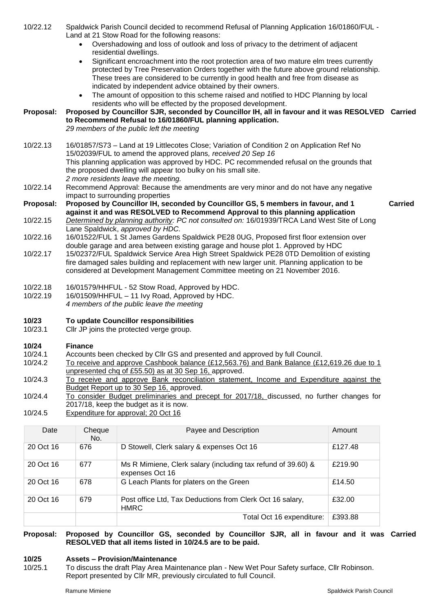### 10/22.12 Spaldwick Parish Council decided to recommend Refusal of Planning Application 16/01860/FUL - Land at 21 Stow Road for the following reasons:

- Overshadowing and loss of outlook and loss of privacy to the detriment of adjacent residential dwellings.
- Significant encroachment into the root protection area of two mature elm trees currently protected by Tree Preservation Orders together with the future above ground relationship. These trees are considered to be currently in good health and free from disease as indicated by independent advice obtained by their owners.
- The amount of opposition to this scheme raised and notified to HDC Planning by local residents who will be effected by the proposed development.

#### **Proposal: Proposed by Councillor SJR, seconded by Councillor IH, all in favour and it was RESOLVED Carried to Recommend Refusal to 16/01860/FUL planning application.** *29 members of the public left the meeting*

- 10/22.13 16/01857/S73 Land at 19 Littlecotes Close; Variation of Condition 2 on Application Ref No 15/02039/FUL to amend the approved plans*, received 20 Sep 16* This planning application was approved by HDC. PC recommended refusal on the grounds that the proposed dwelling will appear too bulky on his small site. *2 more residents leave the meeting.*
- 10/22.14 Recommend Approval: Because the amendments are very minor and do not have any negative impact to surrounding properties
- **Proposal: Proposed by Councillor IH, seconded by Councillor GS, 5 members in favour, and 1 against it and was RESOLVED to Recommend Approval to this planning application**
- 10/22.15 *Determined by planning authority: PC not consulted on:* 16/01939/TRCA Land West Site of Long Lane Spaldwick, *approved by HDC.*
- 10/22.16 16/01522/FUL 1 St James Gardens Spaldwick PE28 0UG, Proposed first floor extension over double garage and area between existing garage and house plot 1. Approved by HDC
- 10/22.17 15/02372/FUL Spaldwick Service Area High Street Spaldwick PE28 0TD Demolition of existing fire damaged sales building and replacement with new larger unit. Planning application to be considered at Development Management Committee meeting on 21 November 2016.
- 10/22.18 16/01579/HHFUL 52 Stow Road, Approved by HDC.
- 10/22.19 16/01509/HHFUL 11 Ivy Road, Approved by HDC.
	- *4 members of the public leave the meeting*

### **10/23 To update Councillor responsibilities**

10/23.1 Cllr JP joins the protected verge group.

# **10/24 Finance**

- 10/24.1 Accounts been checked by Cllr GS and presented and approved by full Council.
- 10/24.2 To receive and approve Cashbook balance (£12,563.76) and Bank Balance (£12,619.26 due to 1 unpresented chq of £55.50) as at 30 Sep 16, approved.
- 10/24.3 To receive and approve Bank reconciliation statement, Income and Expenditure against the Budget Report up to 30 Sep 16, approved.
- 10/24.4 To consider Budget preliminaries and precept for 2017/18, discussed, no further changes for 2017/18, keep the budget as it is now.
- 10/24.5 Expenditure for approval; 20 Oct 16

| Date      | Cheque<br>No. | Payee and Description                                                           | Amount  |
|-----------|---------------|---------------------------------------------------------------------------------|---------|
| 20 Oct 16 | 676           | D Stowell, Clerk salary & expenses Oct 16                                       | £127.48 |
| 20 Oct 16 | 677           | Ms R Mimiene, Clerk salary (including tax refund of 39.60) &<br>expenses Oct 16 | £219.90 |
| 20 Oct 16 | 678           | G Leach Plants for platers on the Green                                         | £14.50  |
| 20 Oct 16 | 679           | Post office Ltd, Tax Deductions from Clerk Oct 16 salary,<br><b>HMRC</b>        | £32.00  |
|           |               | Total Oct 16 expenditure:                                                       | £393.88 |

**Proposal: Proposed by Councillor GS, seconded by Councillor SJR, all in favour and it was Carried RESOLVED that all items listed in 10/24.5 are to be paid.** 

### **10/25 Assets – Provision/Maintenance**

10/25.1 To discuss the draft Play Area Maintenance plan - New Wet Pour Safety surface, Cllr Robinson. Report presented by Cllr MR, previously circulated to full Council.

**Carried**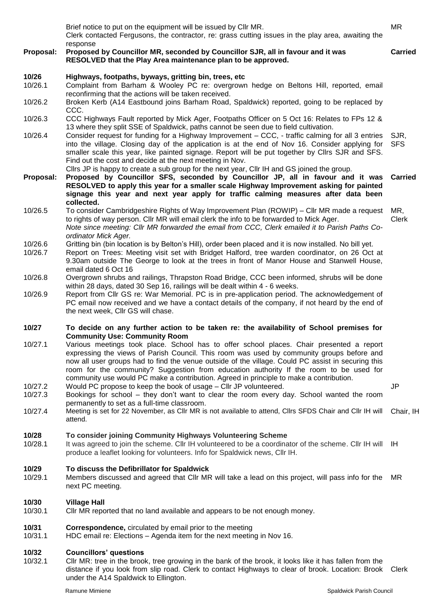Brief notice to put on the equipment will be issued by Cllr MR. Clerk contacted Fergusons, the contractor, re: grass cutting issues in the play area, awaiting the response MR **Proposal: Proposed by Councillor MR, seconded by Councillor SJR, all in favour and it was RESOLVED that the Play Area maintenance plan to be approved. Carried 10/26 Highways, footpaths, byways, gritting bin, trees, etc** 10/26.1 Complaint from Barham & Wooley PC re: overgrown hedge on Beltons Hill, reported, email reconfirming that the actions will be taken received. 10/26.2 Broken Kerb (A14 Eastbound joins Barham Road, Spaldwick) reported, going to be replaced by CCC. 10/26.3 CCC Highways Fault reported by Mick Ager, Footpaths Officer on 5 Oct 16: Relates to FPs 12 & 13 where they split SSE of Spaldwick, paths cannot be seen due to field cultivation. 10/26.4 Consider request for funding for a Highway Improvement – CCC, - traffic calming for all 3 entries into the village. Closing day of the application is at the end of Nov 16. Consider applying for smaller scale this year, like painted signage. Report will be put together by Cllrs SJR and SFS. Find out the cost and decide at the next meeting in Nov. SJR, SFS Cllrs JP is happy to create a sub group for the next year, Cllr IH and GS joined the group. **Proposal: Proposed by Councillor SFS, seconded by Councillor JP, all in favour and it was RESOLVED to apply this year for a smaller scale Highway Improvement asking for painted signage this year and next year apply for traffic calming measures after data been collected. Carried** 10/26.5 To consider Cambridgeshire Rights of Way Improvement Plan (ROWIP) – Cllr MR made a request to rights of way person. Cllr MR will email clerk the info to be forwarded to Mick Ager. MR. Clerk *Note since meeting: Cllr MR forwarded the email from CCC, Clerk emailed it to Parish Paths Coordinator Mick Ager.* 10/26.6 Gritting bin (bin location is by Belton's Hill), order been placed and it is now installed. No bill yet. 10/26.7 Report on Trees: Meeting visit set with Bridget Halford, tree warden coordinator, on 26 Oct at 9.30am outside The George to look at the trees in front of Manor House and Stanwell House, email dated 6 Oct 16 10/26.8 Overgrown shrubs and railings, Thrapston Road Bridge, CCC been informed, shrubs will be done within 28 days, dated 30 Sep 16, railings will be dealt within 4 - 6 weeks. 10/26.9 Report from Cllr GS re: War Memorial. PC is in pre-application period. The acknowledgement of PC email now received and we have a contact details of the company, if not heard by the end of the next week, Cllr GS will chase. **10/27 To decide on any further action to be taken re: the availability of School premises for Community Use: Community Room** 10/27.1 Various meetings took place. School has to offer school places. Chair presented a report expressing the views of Parish Council. This room was used by community groups before and now all user groups had to find the venue outside of the village. Could PC assist in securing this room for the community? Suggestion from education authority If the room to be used for community use would PC make a contribution. Agreed in principle to make a contribution. 10/27.2 Would PC propose to keep the book of usage – Cllr JP volunteered. 10/27.3 Bookings for school – they don't want to clear the room every day. School wanted the room permanently to set as a full-time classroom. 10/27.4 Meeting is set for 22 November, as Cllr MR is not available to attend, Cllrs SFDS Chair and Cllr IH will attend. Chair, IH **10/28 To consider joining Community Highways Volunteering Scheme** 10/28.1 It was agreed to join the scheme. Cllr IH volunteered to be a coordinator of the scheme. Cllr IH will produce a leaflet looking for volunteers. Info for Spaldwick news, Cllr IH. IH

#### **10/29 To discuss the Defibrillator for Spaldwick**

10/29.1 Members discussed and agreed that Cllr MR will take a lead on this project, will pass info for the next PC meeting. MR

#### **10/30 Village Hall**

10/30.1 Cllr MR reported that no land available and appears to be not enough money.

#### **10/31 Correspondence,** circulated by email prior to the meeting

10/31.1 HDC email re: Elections – Agenda item for the next meeting in Nov 16.

#### **10/32 Councillors' questions**

10/32.1 Cllr MR: tree in the brook, tree growing in the bank of the brook, it looks like it has fallen from the distance if you look from slip road. Clerk to contact Highways to clear of brook. Location: Brook Clerkunder the A14 Spaldwick to Ellington.